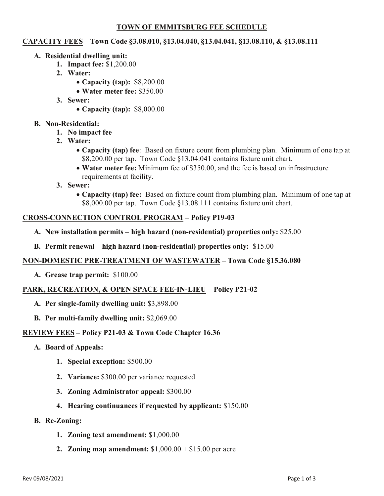# **TOWN OF EMMITSBURG FEE SCHEDULE**

### **CAPACITY FEES – Town Code §3.08.010, §13.04.040, §13.04.041, §13.08.110, & §13.08.111**

- **A. Residential dwelling unit:**
	- **1. Impact fee:** \$1,200.00
	- **2. Water:**
		- **Capacity (tap):** \$8,200.00
		- **Water meter fee:** \$350.00
	- **3. Sewer:**
		- **Capacity (tap):** \$8,000.00
- **B. Non-Residential:**
	- **1. No impact fee**
	- **2. Water:** 
		- **Capacity (tap) fee**: Based on fixture count from plumbing plan. Minimum of one tap at \$8,200.00 per tap. Town Code §13.04.041 contains fixture unit chart.
		- **Water meter fee:** Minimum fee of \$350.00, and the fee is based on infrastructure requirements at facility.
	- **3. Sewer:**
		- **Capacity (tap) fee:** Based on fixture count from plumbing plan. Minimum of one tap at \$8,000.00 per tap. Town Code §13.08.111 contains fixture unit chart.

### **CROSS-CONNECTION CONTROL PROGRAM – Policy P19-03**

- **A. New installation permits – high hazard (non-residential) properties only:** \$25.00
- **B. Permit renewal – high hazard (non-residential) properties only:** \$15.00

#### **NON-DOMESTIC PRE-TREATMENT OF WASTEWATER – Town Code §15.36.080**

**A. Grease trap permit:** \$100.00

#### **PARK, RECREATION, & OPEN SPACE FEE-IN-LIEU – Policy P21-02**

- **A. Per single-family dwelling unit:** \$3,898.00
- **B. Per multi-family dwelling unit:** \$2,069.00

#### **REVIEW FEES – Policy P21-03 & Town Code Chapter 16.36**

- **A. Board of Appeals:** 
	- **1. Special exception:** \$500.00
	- **2. Variance:** \$300.00 per variance requested
	- **3. Zoning Administrator appeal:** \$300.00
	- **4. Hearing continuances if requested by applicant:** \$150.00
- **B. Re-Zoning:** 
	- **1. Zoning text amendment:** \$1,000.00
	- **2. Zoning map amendment:** \$1,000.00 + \$15.00 per acre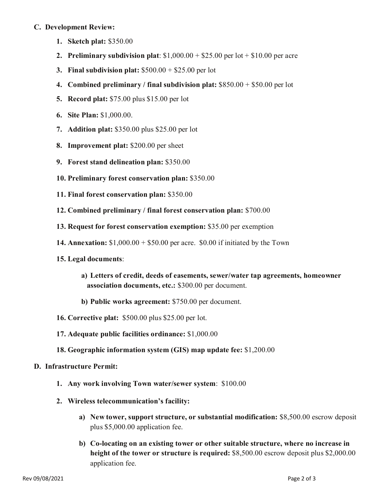### **C. Development Review:**

- **1. Sketch plat:** \$350.00
- **2. Preliminary subdivision plat:**  $$1,000.00 + $25.00$  per lot  $+ $10.00$  per acre
- **3. Final subdivision plat:** \$500.00 + \$25.00 per lot
- **4. Combined preliminary / final subdivision plat:** \$850.00 + \$50.00 per lot
- **5. Record plat:** \$75.00 plus \$15.00 per lot
- **6. Site Plan:** \$1,000.00.
- **7. Addition plat:** \$350.00 plus \$25.00 per lot
- **8. Improvement plat:** \$200.00 per sheet
- **9. Forest stand delineation plan:** \$350.00
- **10. Preliminary forest conservation plan:** \$350.00
- **11. Final forest conservation plan:** \$350.00
- **12. Combined preliminary / final forest conservation plan:** \$700.00
- **13. Request for forest conservation exemption:** \$35.00 per exemption
- **14. Annexation:** \$1,000.00 + \$50.00 per acre. \$0.00 if initiated by the Town
- **15. Legal documents**:
	- **a) Letters of credit, deeds of easements, sewer/water tap agreements, homeowner association documents, etc.:** \$300.00 per document.
	- **b) Public works agreement:** \$750.00 per document.
- **16. Corrective plat:** \$500.00 plus \$25.00 per lot.
- **17. Adequate public facilities ordinance:** \$1,000.00
- **18. Geographic information system (GIS) map update fee:** \$1,200.00

# **D. Infrastructure Permit:**

- **1. Any work involving Town water/sewer system**: \$100.00
- **2. Wireless telecommunication's facility:** 
	- **a) New tower, support structure, or substantial modification:** \$8,500.00 escrow deposit plus \$5,000.00 application fee.
	- **b) Co-locating on an existing tower or other suitable structure, where no increase in height of the tower or structure is required:** \$8,500.00 escrow deposit plus \$2,000.00 application fee.